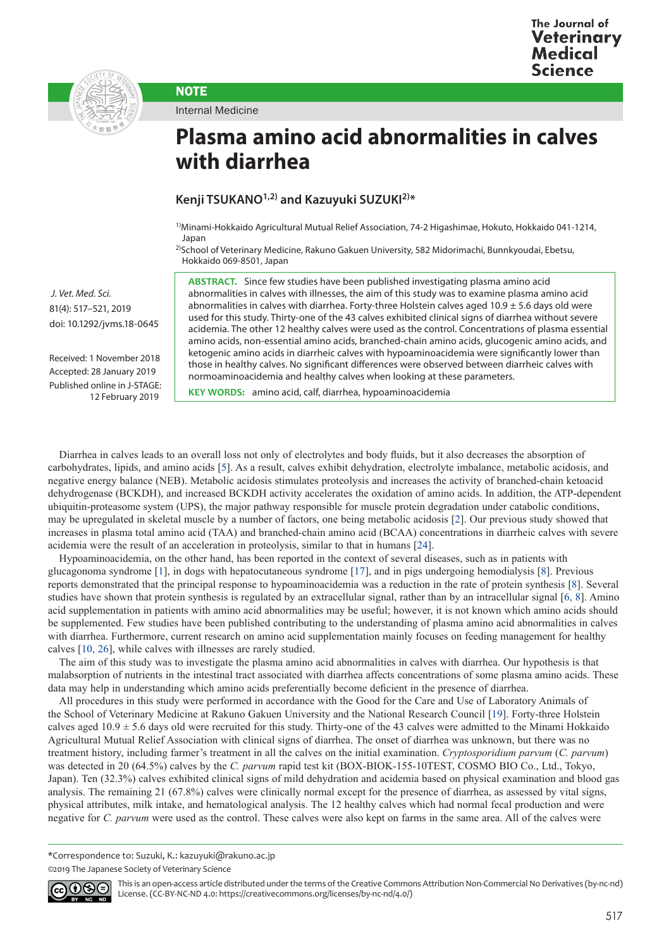



Internal Medicine

**NOTE** 

## **Plasma amino acid abnormalities in calves with diarrhea**

## **Kenji TSUKANO1,2) and Kazuyuki SUZUKI2)\***

1)Minami-Hokkaido Agricultural Mutual Relief Association, 74-2 Higashimae, Hokuto, Hokkaido 041-1214, Japan

2)School of Veterinary Medicine, Rakuno Gakuen University, 582 Midorimachi, Bunnkyoudai, Ebetsu, Hokkaido 069-8501, Japan

**ABSTRACT.** Since few studies have been published investigating plasma amino acid abnormalities in calves with illnesses, the aim of this study was to examine plasma amino acid abnormalities in calves with diarrhea. Forty-three Holstein calves aged  $10.9 \pm 5.6$  days old were used for this study. Thirty-one of the 43 calves exhibited clinical signs of diarrhea without severe acidemia. The other 12 healthy calves were used as the control. Concentrations of plasma essential amino acids, non-essential amino acids, branched-chain amino acids, glucogenic amino acids, and ketogenic amino acids in diarrheic calves with hypoaminoacidemia were significantly lower than those in healthy calves. No significant differences were observed between diarrheic calves with normoaminoacidemia and healthy calves when looking at these parameters.

**KEY WORDS:** amino acid, calf, diarrhea, hypoaminoacidemia

Diarrhea in calves leads to an overall loss not only of electrolytes and body fluids, but it also decreases the absorption of carbohydrates, lipids, and amino acids [[5](#page-3-0)]. As a result, calves exhibit dehydration, electrolyte imbalance, metabolic acidosis, and negative energy balance (NEB). Metabolic acidosis stimulates proteolysis and increases the activity of branched-chain ketoacid dehydrogenase (BCKDH), and increased BCKDH activity accelerates the oxidation of amino acids. In addition, the ATP-dependent ubiquitin-proteasome system (UPS), the major pathway responsible for muscle protein degradation under catabolic conditions, may be upregulated in skeletal muscle by a number of factors, one being metabolic acidosis [[2](#page-3-1)]. Our previous study showed that increases in plasma total amino acid (TAA) and branched-chain amino acid (BCAA) concentrations in diarrheic calves with severe acidemia were the result of an acceleration in proteolysis, similar to that in humans [[24\]](#page-4-0).

Hypoaminoacidemia, on the other hand, has been reported in the context of several diseases, such as in patients with glucagonoma syndrome [[1](#page-3-2)], in dogs with hepatocutaneous syndrome [[17](#page-3-3)], and in pigs undergoing hemodialysis [[8](#page-3-4)]. Previous reports demonstrated that the principal response to hypoaminoacidemia was a reduction in the rate of protein synthesis [[8](#page-3-4)]. Several studies have shown that protein synthesis is regulated by an extracellular signal, rather than by an intracellular signal [[6, 8](#page-3-5)]. Amino acid supplementation in patients with amino acid abnormalities may be useful; however, it is not known which amino acids should be supplemented. Few studies have been published contributing to the understanding of plasma amino acid abnormalities in calves with diarrhea. Furthermore, current research on amino acid supplementation mainly focuses on feeding management for healthy calves [\[10, 26\]](#page-3-6), while calves with illnesses are rarely studied.

The aim of this study was to investigate the plasma amino acid abnormalities in calves with diarrhea. Our hypothesis is that malabsorption of nutrients in the intestinal tract associated with diarrhea affects concentrations of some plasma amino acids. These data may help in understanding which amino acids preferentially become deficient in the presence of diarrhea.

All procedures in this study were performed in accordance with the Good for the Care and Use of Laboratory Animals of the School of Veterinary Medicine at Rakuno Gakuen University and the National Research Council [[19](#page-4-1)]. Forty-three Holstein calves aged  $10.9 \pm 5.6$  days old were recruited for this study. Thirty-one of the 43 calves were admitted to the Minami Hokkaido Agricultural Mutual Relief Association with clinical signs of diarrhea. The onset of diarrhea was unknown, but there was no treatment history, including farmer's treatment in all the calves on the initial examination. *Cryptosporidium parvum* (*C. parvum*) was detected in 20 (64.5%) calves by the *C. parvum* rapid test kit (BOX-BIOK-155-10TEST, COSMO BIO Co., Ltd., Tokyo, Japan). Ten (32.3%) calves exhibited clinical signs of mild dehydration and acidemia based on physical examination and blood gas analysis. The remaining 21 (67.8%) calves were clinically normal except for the presence of diarrhea, as assessed by vital signs, physical attributes, milk intake, and hematological analysis. The 12 healthy calves which had normal fecal production and were negative for *C. parvum* were used as the control. These calves were also kept on farms in the same area. All of the calves were

\*Correspondence to: Suzuki, K.: kazuyuki@rakuno.ac.jp

<sup>©2019</sup> The Japanese Society of Veterinary Science



This is an open-access article distributed under the terms of the Creative Commons Attribution Non-Commercial No Derivatives (by-nc-nd) License. (CC-BY-NC-ND 4.0: <https://creativecommons.org/licenses/by-nc-nd/4.0/>)

 *J. Vet. Med. Sci.*  81(4): 517–521, 2019 doi: 10.1292/jvms.18-0645

Received: 1 November 2018 Accepted: 28 January 2019 Published online in J-STAGE: 12 February 2019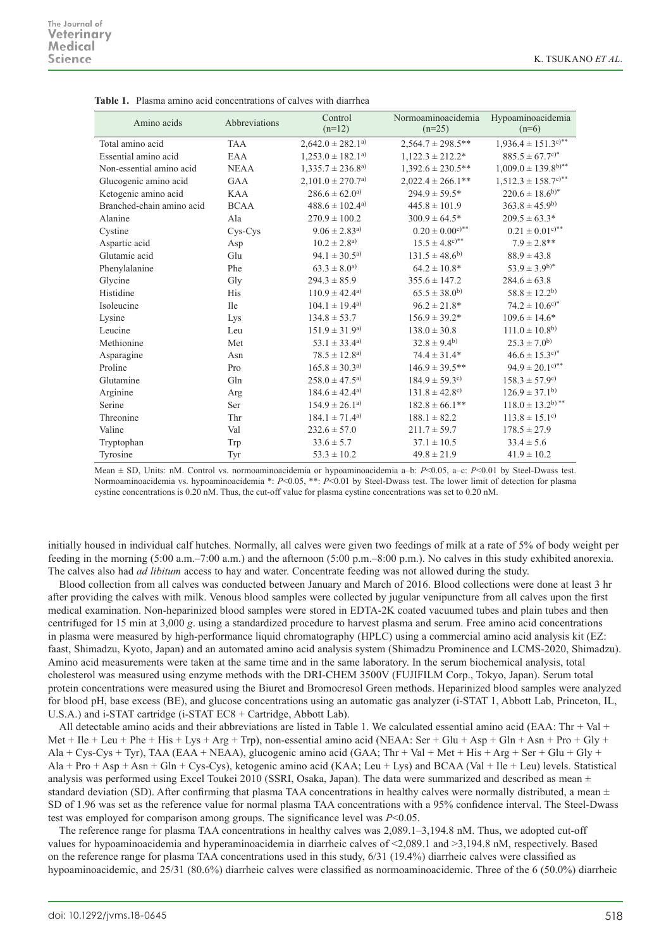| Amino acids               | Abbreviations | Control<br>$(n=12)$               | Normoaminoacidemia<br>$(n=25)$  | Hypoaminoacidemia<br>$(n=6)$                 |
|---------------------------|---------------|-----------------------------------|---------------------------------|----------------------------------------------|
| Total amino acid          | <b>TAA</b>    | $2,642.0 \pm 282.1$ <sup>a)</sup> | $2,564.7 \pm 298.5$ **          | $1,936.4 \pm 151.3$ c)**                     |
| Essential amino acid      | EAA           | $1,253.0 \pm 182.1^{a}$           | $1,122.3 \pm 212.2^*$           | $885.5 \pm 67.7^{\circ}$                     |
| Non-essential amino acid  | <b>NEAA</b>   | $1,335.7 \pm 236.8^{a}$           | $1,392.6 \pm 230.5$ **          | $1,009.0 \pm 139.8$ b)**                     |
| Glucogenic amino acid     | <b>GAA</b>    | $2,101.0 \pm 270.7$ <sup>a)</sup> | $2,022.4 \pm 266.1**$           | $1,512.3 \pm 158.7^{\text{c}}$ <sup>**</sup> |
| Ketogenic amino acid      | <b>KAA</b>    | $286.6 \pm 62.0^{a}$              | $294.9 \pm 59.5*$               | $220.6 \pm 18.6^{b}$                         |
| Branched-chain amino acid | <b>BCAA</b>   | $488.6 \pm 102.4$ <sup>a)</sup>   | $445.8 \pm 101.9$               | $363.8 \pm 45.9^{b}$                         |
| Alanine                   | Ala           | $270.9 \pm 100.2$                 | $300.9 \pm 64.5*$               | $209.5 \pm 63.3*$                            |
| Cystine                   | Cys-Cys       | $9.06 \pm 2.83^{a}$               | $0.20 \pm 0.00$ <sup>c)**</sup> | $0.21 \pm 0.01$ <sup>c)**</sup>              |
| Aspartic acid             | Asp           | $10.2 \pm 2.8^{a}$                | $15.5 \pm 4.8^{\circ}$          | $7.9 \pm 2.8$ **                             |
| Glutamic acid             | Glu           | $94.1 \pm 30.5^{a}$               | $131.5 \pm 48.6^{b}$            | $88.9 \pm 43.8$                              |
| Phenylalanine             | Phe           | $63.3 \pm 8.0^{a}$                | $64.2 \pm 10.8^*$               | $53.9 \pm 3.9^{b)*}$                         |
| Glycine                   | Gly           | $294.3 \pm 85.9$                  | $355.6 \pm 147.2$               | $284.6 \pm 63.8$                             |
| Histidine                 | <b>His</b>    | $110.9 \pm 42.4$ <sup>a)</sup>    | $65.5 \pm 38.0^{b}$             | $58.8 \pm 12.2^{b}$                          |
| Isoleucine                | Ile           | $104.1 \pm 19.4^{a}$              | $96.2 \pm 21.8*$                | $74.2 \pm 10.6^{\circ}$                      |
| Lysine                    | Lys           | $134.8 \pm 53.7$                  | $156.9 \pm 39.2*$               | $109.6 \pm 14.6*$                            |
| Leucine                   | Leu           | $151.9 \pm 31.9^{a}$              | $138.0 \pm 30.8$                | $111.0 \pm 10.8^{b}$                         |
| Methionine                | Met           | $53.1 \pm 33.4$ <sup>a)</sup>     | $32.8 \pm 9.4^{b}$              | $25.3 \pm 7.0^{b}$                           |
| Asparagine                | Asn           | $78.5 \pm 12.8^{a}$               | $74.4 \pm 31.4*$                | $46.6 \pm 15.3$ <sup>c)*</sup>               |
| Proline                   | Pro           | $165.8 \pm 30.3^{a}$              | $146.9 \pm 39.5$ **             | $94.9 \pm 20.1$ <sup>c)**</sup>              |
| Glutamine                 | Gln           | $258.0 \pm 47.5^{a}$              | $184.9 \pm 59.3$ <sup>c)</sup>  | $158.3 \pm 57.9^{\circ}$                     |
| Arginine                  | Arg           | $184.6 \pm 42.4^{a}$              | $131.8 \pm 42.8$ <sup>c)</sup>  | $126.9 \pm 37.1^{b}$                         |
| Serine                    | Ser           | $154.9 \pm 26.1^{a}$              | $182.8 \pm 66.1**$              | $118.0 \pm 13.2^{b}$ <sup>**</sup>           |
| Threonine                 | Thr           | $184.1 \pm 71.4^{a}$              | $188.1 \pm 82.2$                | $113.8 \pm 15.1$ <sup>c)</sup>               |
| Valine                    | Val           | $232.6 \pm 57.0$                  | $211.7 \pm 59.7$                | $178.5 \pm 27.9$                             |
| Tryptophan                | Trp           | $33.6 \pm 5.7$                    | $37.1 \pm 10.5$                 | $33.4 \pm 5.6$                               |
| Tyrosine                  | Tyr           | $53.3 \pm 10.2$                   | $49.8 \pm 21.9$                 | $41.9 \pm 10.2$                              |

**Table 1.** Plasma amino acid concentrations of calves with diarrhea

Mean ± SD, Units: nM. Control vs. normoaminoacidemia or hypoaminoacidemia a–b: *P*<0.05, a–c: *P*<0.01 by Steel-Dwass test. Normoaminoacidemia vs. hypoaminoacidemia \*: *P*<0.05, \*\*: *P*<0.01 by Steel-Dwass test. The lower limit of detection for plasma cystine concentrations is 0.20 nM. Thus, the cut-off value for plasma cystine concentrations was set to 0.20 nM.

initially housed in individual calf hutches. Normally, all calves were given two feedings of milk at a rate of 5% of body weight per feeding in the morning (5:00 a.m.–7:00 a.m.) and the afternoon (5:00 p.m.–8:00 p.m.). No calves in this study exhibited anorexia. The calves also had *ad libitum* access to hay and water. Concentrate feeding was not allowed during the study.

Blood collection from all calves was conducted between January and March of 2016. Blood collections were done at least 3 hr after providing the calves with milk. Venous blood samples were collected by jugular venipuncture from all calves upon the first medical examination. Non-heparinized blood samples were stored in EDTA-2K coated vacuumed tubes and plain tubes and then centrifuged for 15 min at 3,000 *g*. using a standardized procedure to harvest plasma and serum. Free amino acid concentrations in plasma were measured by high-performance liquid chromatography (HPLC) using a commercial amino acid analysis kit (EZ: faast, Shimadzu, Kyoto, Japan) and an automated amino acid analysis system (Shimadzu Prominence and LCMS-2020, Shimadzu). Amino acid measurements were taken at the same time and in the same laboratory. In the serum biochemical analysis, total cholesterol was measured using enzyme methods with the DRI-CHEM 3500V (FUJIFILM Corp., Tokyo, Japan). Serum total protein concentrations were measured using the Biuret and Bromocresol Green methods. Heparinized blood samples were analyzed for blood pH, base excess (BE), and glucose concentrations using an automatic gas analyzer (i-STAT 1, Abbott Lab, Princeton, IL, U.S.A.) and i-STAT cartridge (i-STAT EC8 + Cartridge, Abbott Lab).

All detectable amino acids and their abbreviations are listed in Table 1. We calculated essential amino acid (EAA: Thr  $+$  Val  $+$ Met + Ile + Leu + Phe + His + Lys + Arg + Trp), non-essential amino acid (NEAA: Ser + Glu + Asp + Gln + Asn + Pro + Gly + Ala + Cys-Cys + Tyr), TAA (EAA + NEAA), glucogenic amino acid (GAA; Thr + Val + Met + His + Arg + Ser + Glu + Gly +  $\text{Ala} + \text{Pro} + \text{Asp} + \text{Asn} + \text{Gln} + \text{Cys-Cys}$ , ketogenic amino acid (KAA; Leu + Lys) and BCAA (Val + Ile + Leu) levels. Statistical analysis was performed using Excel Toukei 2010 (SSRI, Osaka, Japan). The data were summarized and described as mean  $\pm$ standard deviation (SD). After confirming that plasma TAA concentrations in healthy calves were normally distributed, a mean  $\pm$ SD of 1.96 was set as the reference value for normal plasma TAA concentrations with a 95% confidence interval. The Steel-Dwass test was employed for comparison among groups. The significance level was *P*<0.05.

The reference range for plasma TAA concentrations in healthy calves was 2,089.1–3,194.8 nM. Thus, we adopted cut-off values for hypoaminoacidemia and hyperaminoacidemia in diarrheic calves of <2,089.1 and >3,194.8 nM, respectively. Based on the reference range for plasma TAA concentrations used in this study, 6/31 (19.4%) diarrheic calves were classified as hypoaminoacidemic, and 25/31 (80.6%) diarrheic calves were classified as normoaminoacidemic. Three of the 6 (50.0%) diarrheic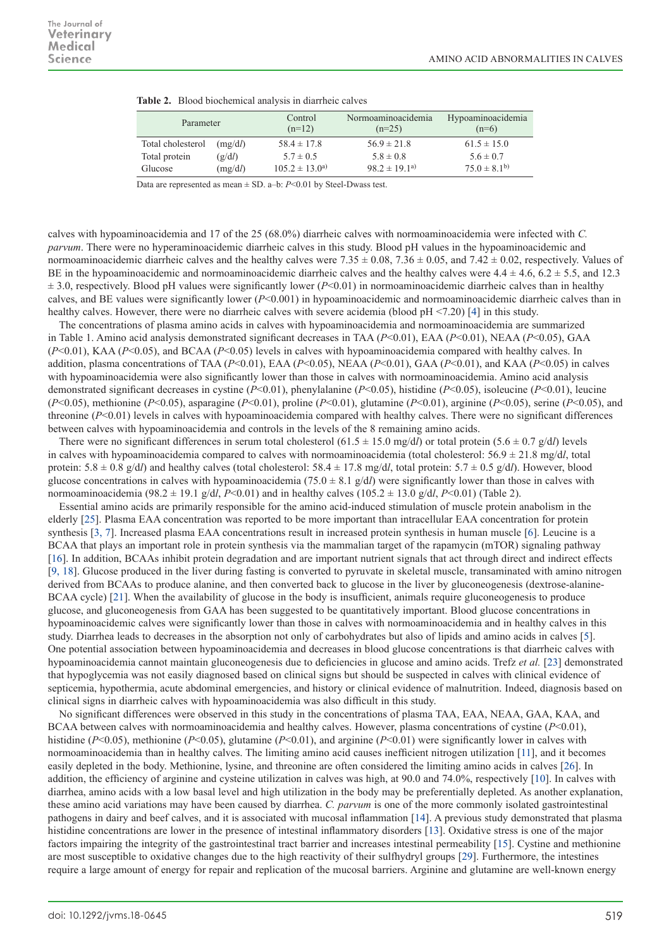| Parameter         |         | Control<br>$(n=12)$  | Normoaminoacidemia<br>$(n=25)$ | Hypoaminoacidemia<br>$(n=6)$ |  |
|-------------------|---------|----------------------|--------------------------------|------------------------------|--|
| Total cholesterol | (mg/dl) | $58.4 \pm 17.8$      | $56.9 \pm 21.8$                | $61.5 \pm 15.0$              |  |
| Total protein     | (g/dl)  | $5.7 \pm 0.5$        | $5.8 \pm 0.8$                  | $5.6 \pm 0.7$                |  |
| Glucose           | (mg/dl) | $105.2 \pm 13.0^{a}$ | $98.2 \pm 19.1$ <sup>a)</sup>  | $75.0 \pm 8.1^{b}$           |  |

|  | Table 2. Blood biochemical analysis in diarrheic calves |  |  |  |
|--|---------------------------------------------------------|--|--|--|
|--|---------------------------------------------------------|--|--|--|

Data are represented as mean ± SD. a–b: *P*<0.01 by Steel-Dwass test.

calves with hypoaminoacidemia and 17 of the 25 (68.0%) diarrheic calves with normoaminoacidemia were infected with *C. parvum*. There were no hyperaminoacidemic diarrheic calves in this study. Blood pH values in the hypoaminoacidemic and normoaminoacidemic diarrheic calves and the healthy calves were 7.35  $\pm$  0.08, 7.36  $\pm$  0.05, and 7.42  $\pm$  0.02, respectively. Values of BE in the hypoaminoacidemic and normoaminoacidemic diarrheic calves and the healthy calves were  $4.4 \pm 4.6$ ,  $6.2 \pm 5.5$ , and 12.3  $\pm$  3.0, respectively. Blood pH values were significantly lower ( $P$ <0.01) in normoaminoacidemic diarrheic calves than in healthy calves, and BE values were significantly lower (*P*<0.001) in hypoaminoacidemic and normoaminoacidemic diarrheic calves than in healthy calves. However, there were no diarrheic calves with severe acidemia (blood pH <7.20) [[4](#page-3-7)] in this study.

The concentrations of plasma amino acids in calves with hypoaminoacidemia and normoaminoacidemia are summarized in Table 1. Amino acid analysis demonstrated significant decreases in TAA (*P*<0.01), EAA (*P*<0.01), NEAA (*P*<0.05), GAA (*P*<0.01), KAA (*P*<0.05), and BCAA (*P*<0.05) levels in calves with hypoaminoacidemia compared with healthy calves. In addition, plasma concentrations of TAA (*P*<0.01), EAA (*P*<0.05), NEAA (*P*<0.01), GAA (*P*<0.01), and KAA (*P*<0.05) in calves with hypoaminoacidemia were also significantly lower than those in calves with normoaminoacidemia. Amino acid analysis demonstrated significant decreases in cystine (*P*<0.01), phenylalanine (*P*<0.05), histidine (*P*<0.05), isoleucine (*P*<0.01), leucine (*P*<0.05), methionine (*P*<0.05), asparagine (*P*<0.01), proline (*P*<0.01), glutamine (*P*<0.01), arginine (*P*<0.05), serine (*P*<0.05), and threonine (*P*<0.01) levels in calves with hypoaminoacidemia compared with healthy calves. There were no significant differences between calves with hypoaminoacidemia and controls in the levels of the 8 remaining amino acids.

There were no significant differences in serum total cholesterol  $(61.5 \pm 15.0 \text{ mg/d}l)$  or total protein  $(5.6 \pm 0.7 \text{ g/d}l)$  levels in calves with hypoaminoacidemia compared to calves with normoaminoacidemia (total cholesterol:  $56.9 \pm 21.8$  mg/dl, total protein: 5.8 ± 0.8 g/d*l*) and healthy calves (total cholesterol: 58.4 ± 17.8 mg/d*l*, total protein: 5.7 ± 0.5 g/d*l*). However, blood glucose concentrations in calves with hypoaminoacidemia  $(75.0 \pm 8.1 \text{ g/d})$  were significantly lower than those in calves with normoaminoacidemia (98.2 ± 19.1 g/d*l*, *P*<0.01) and in healthy calves (105.2 ± 13.0 g/d*l*, *P*<0.01) (Table 2).

Essential amino acids are primarily responsible for the amino acid-induced stimulation of muscle protein anabolism in the elderly [[25](#page-4-2)]. Plasma EAA concentration was reported to be more important than intracellular EAA concentration for protein synthesis [[3, 7](#page-3-8)]. Increased plasma EAA concentrations result in increased protein synthesis in human muscle [[6](#page-3-5)]. Leucine is a BCAA that plays an important role in protein synthesis via the mammalian target of the rapamycin (mTOR) signaling pathway [[16](#page-3-9)]. In addition, BCAAs inhibit protein degradation and are important nutrient signals that act through direct and indirect effects [[9, 18](#page-3-10)]. Glucose produced in the liver during fasting is converted to pyruvate in skeletal muscle, transaminated with amino nitrogen derived from BCAAs to produce alanine, and then converted back to glucose in the liver by gluconeogenesis (dextrose-alanine-BCAA cycle) [[21](#page-4-3)]. When the availability of glucose in the body is insufficient, animals require gluconeogenesis to produce glucose, and gluconeogenesis from GAA has been suggested to be quantitatively important. Blood glucose concentrations in hypoaminoacidemic calves were significantly lower than those in calves with normoaminoacidemia and in healthy calves in this study. Diarrhea leads to decreases in the absorption not only of carbohydrates but also of lipids and amino acids in calves [[5\]](#page-3-0). One potential association between hypoaminoacidemia and decreases in blood glucose concentrations is that diarrheic calves with hypoaminoacidemia cannot maintain gluconeogenesis due to deficiencies in glucose and amino acids. Trefz *et al.* [[23](#page-4-4)] demonstrated that hypoglycemia was not easily diagnosed based on clinical signs but should be suspected in calves with clinical evidence of septicemia, hypothermia, acute abdominal emergencies, and history or clinical evidence of malnutrition. Indeed, diagnosis based on clinical signs in diarrheic calves with hypoaminoacidemia was also difficult in this study.

No significant differences were observed in this study in the concentrations of plasma TAA, EAA, NEAA, GAA, KAA, and BCAA between calves with normoaminoacidemia and healthy calves. However, plasma concentrations of cystine (*P*<0.01), histidine (*P*<0.05), methionine (*P*<0.05), glutamine (*P*<0.01), and arginine (*P*<0.01) were significantly lower in calves with normoaminoacidemia than in healthy calves. The limiting amino acid causes inefficient nitrogen utilization [[11](#page-3-11)], and it becomes easily depleted in the body. Methionine, lysine, and threonine are often considered the limiting amino acids in calves [[26](#page-4-5)]. In addition, the efficiency of arginine and cysteine utilization in calves was high, at 90.0 and 74.0%, respectively [[10](#page-3-6)]. In calves with diarrhea, amino acids with a low basal level and high utilization in the body may be preferentially depleted. As another explanation, these amino acid variations may have been caused by diarrhea. *C. parvum* is one of the more commonly isolated gastrointestinal pathogens in dairy and beef calves, and it is associated with mucosal inflammation [[14](#page-3-12)]. A previous study demonstrated that plasma histidine concentrations are lower in the presence of intestinal inflammatory disorders [\[13\]](#page-3-13). Oxidative stress is one of the major factors impairing the integrity of the gastrointestinal tract barrier and increases intestinal permeability [[15](#page-3-14)]. Cystine and methionine are most susceptible to oxidative changes due to the high reactivity of their sulfhydryl groups [[29](#page-4-6)]. Furthermore, the intestines require a large amount of energy for repair and replication of the mucosal barriers. Arginine and glutamine are well-known energy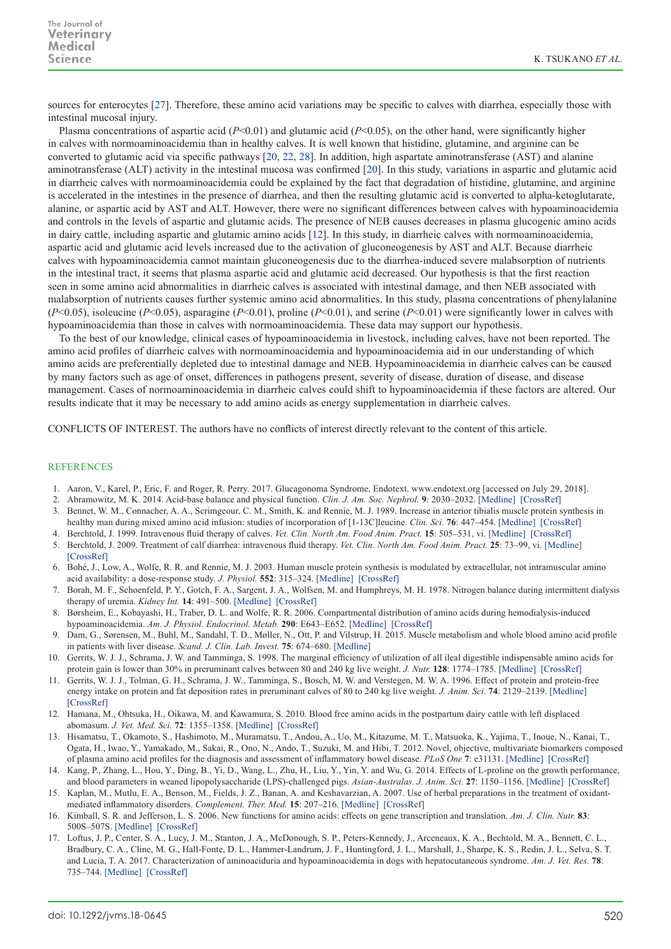sources for enterocytes [[27](#page-4-7)]. Therefore, these amino acid variations may be specific to calves with diarrhea, especially those with intestinal mucosal injury.

Plasma concentrations of aspartic acid (*P*<0.01) and glutamic acid (*P*<0.05), on the other hand, were significantly higher in calves with normoaminoacidemia than in healthy calves. It is well known that histidine, glutamine, and arginine can be converted to glutamic acid via specific pathways [\[20, 22, 28](#page-4-8)]. In addition, high aspartate aminotransferase (AST) and alanine aminotransferase (ALT) activity in the intestinal mucosa was confirmed [[20](#page-4-8)]. In this study, variations in aspartic and glutamic acid in diarrheic calves with normoaminoacidemia could be explained by the fact that degradation of histidine, glutamine, and arginine is accelerated in the intestines in the presence of diarrhea, and then the resulting glutamic acid is converted to alpha-ketoglutarate, alanine, or aspartic acid by AST and ALT. However, there were no significant differences between calves with hypoaminoacidemia and controls in the levels of aspartic and glutamic acids. The presence of NEB causes decreases in plasma glucogenic amino acids in dairy cattle, including aspartic and glutamic amino acids [[12](#page-3-15)]. In this study, in diarrheic calves with normoaminoacidemia, aspartic acid and glutamic acid levels increased due to the activation of gluconeogenesis by AST and ALT. Because diarrheic calves with hypoaminoacidemia cannot maintain gluconeogenesis due to the diarrhea-induced severe malabsorption of nutrients in the intestinal tract, it seems that plasma aspartic acid and glutamic acid decreased. Our hypothesis is that the first reaction seen in some amino acid abnormalities in diarrheic calves is associated with intestinal damage, and then NEB associated with malabsorption of nutrients causes further systemic amino acid abnormalities. In this study, plasma concentrations of phenylalanine (*P*<0.05), isoleucine (*P*<0.05), asparagine (*P*<0.01), proline (*P*<0.01), and serine (*P*<0.01) were significantly lower in calves with hypoaminoacidemia than those in calves with normoaminoacidemia. These data may support our hypothesis.

To the best of our knowledge, clinical cases of hypoaminoacidemia in livestock, including calves, have not been reported. The amino acid profiles of diarrheic calves with normoaminoacidemia and hypoaminoacidemia aid in our understanding of which amino acids are preferentially depleted due to intestinal damage and NEB. Hypoaminoacidemia in diarrheic calves can be caused by many factors such as age of onset, differences in pathogens present, severity of disease, duration of disease, and disease management. Cases of normoaminoacidemia in diarrheic calves could shift to hypoaminoacidemia if these factors are altered. Our results indicate that it may be necessary to add amino acids as energy supplementation in diarrheic calves.

CONFLICTS OF INTEREST. The authors have no conflicts of interest directly relevant to the content of this article.

## **REFERENCES**

- <span id="page-3-2"></span>1. Aaron, V., Karel, P., Eric, F. and Roger, R. Perry. 2017. Glucagonoma Syndrome, Endotext. www.endotext.org [accessed on July 29, 2018].
- <span id="page-3-1"></span>2. Abramowitz, M. K. 2014. Acid-base balance and physical function. *Clin. J. Am. Soc. Nephrol.* **9**: 2030–2032. [\[Medline\]](http://www.ncbi.nlm.nih.gov/pubmed/25381343?dopt=Abstract) [\[CrossRef\]](http://dx.doi.org/10.2215/CJN.10371014)
- <span id="page-3-8"></span>3. Bennet, W. M., Connacher, A. A., Scrimgeour, C. M., Smith, K. and Rennie, M. J. 1989. Increase in anterior tibialis muscle protein synthesis in healthy man during mixed amino acid infusion: studies of incorporation of [1-13C]leucine. *Clin. Sci.* **76**: 447–454. [\[Medline\]](http://www.ncbi.nlm.nih.gov/pubmed/2714054?dopt=Abstract) [\[CrossRef\]](http://dx.doi.org/10.1042/cs0760447)
- <span id="page-3-7"></span>4. Berchtold, J. 1999. Intravenous fluid therapy of calves. *Vet. Clin. North Am. Food Anim. Pract.* **15**: 505–531, vi. [\[Medline\]](http://www.ncbi.nlm.nih.gov/pubmed/10573809?dopt=Abstract) [\[CrossRef\]](http://dx.doi.org/10.1016/S0749-0720(15)30161-4)
- <span id="page-3-0"></span>5. Berchtold, J. 2009. Treatment of calf diarrhea: intravenous fluid therapy. *Vet. Clin. North Am. Food Anim. Pract.* **25**: 73–99, vi. [\[Medline\]](http://www.ncbi.nlm.nih.gov/pubmed/19174284?dopt=Abstract) [\[CrossRef\]](http://dx.doi.org/10.1016/j.cvfa.2008.10.001)
- <span id="page-3-5"></span>6. Bohé, J., Low, A., Wolfe, R. R. and Rennie, M. J. 2003. Human muscle protein synthesis is modulated by extracellular, not intramuscular amino acid availability: a dose-response study. *J. Physiol.* **552**: 315–324. [\[Medline\]](http://www.ncbi.nlm.nih.gov/pubmed/12909668?dopt=Abstract) [\[CrossRef\]](http://dx.doi.org/10.1113/jphysiol.2003.050674)
- 7. Borah, M. F., Schoenfeld, P. Y., Gotch, F. A., Sargent, J. A., Wolfsen, M. and Humphreys, M. H. 1978. Nitrogen balance during intermittent dialysis therapy of uremia. *Kidney Int.* **14**: 491–500. [\[Medline\]](http://www.ncbi.nlm.nih.gov/pubmed/750694?dopt=Abstract) [\[CrossRef\]](http://dx.doi.org/10.1038/ki.1978.154)
- <span id="page-3-4"></span>8. Børsheim, E., Kobayashi, H., Traber, D. L. and Wolfe, R. R. 2006. Compartmental distribution of amino acids during hemodialysis-induced hypoaminoacidemia. *Am. J. Physiol. Endocrinol. Metab.* **290**: E643–E652. [\[Medline\]](http://www.ncbi.nlm.nih.gov/pubmed/16278248?dopt=Abstract) [\[CrossRef\]](http://dx.doi.org/10.1152/ajpendo.00267.2005)
- <span id="page-3-10"></span>9. Dam, G., Sørensen, M., Buhl, M., Sandahl, T. D., Møller, N., Ott, P. and Vilstrup, H. 2015. Muscle metabolism and whole blood amino acid profile in patients with liver disease. *Scand. J. Clin. Lab. Invest.* **75**: 674–680. [\[Medline\]](http://www.ncbi.nlm.nih.gov/pubmed/26243157?dopt=Abstract)
- <span id="page-3-6"></span>10. Gerrits, W. J. J., Schrama, J. W. and Tamminga, S. 1998. The marginal efficiency of utilization of all ileal digestible indispensable amino acids for protein gain is lower than 30% in preruminant calves between 80 and 240 kg live weight. *J. Nutr.* **128**: 1774–1785. [\[Medline\]](http://www.ncbi.nlm.nih.gov/pubmed/9772149?dopt=Abstract) [\[CrossRef\]](http://dx.doi.org/10.1093/jn/128.10.1774)
- <span id="page-3-11"></span>11. Gerrits, W. J. J., Tolman, G. H., Schrama, J. W., Tamminga, S., Bosch, M. W. and Verstegen, M. W. A. 1996. Effect of protein and protein-free energy intake on protein and fat deposition rates in preruminant calves of 80 to 240 kg live weight. *J. Anim. Sci.* **74**: 2129–2139. [\[Medline\]](http://www.ncbi.nlm.nih.gov/pubmed/8880415?dopt=Abstract) [\[CrossRef\]](http://dx.doi.org/10.2527/1996.7492129x)
- <span id="page-3-15"></span>12. Hamana, M., Ohtsuka, H., Oikawa, M. and Kawamura, S. 2010. Blood free amino acids in the postpartum dairy cattle with left displaced abomasum. *J. Vet. Med. Sci.* **72**: 1355–1358. [\[Medline\]](http://www.ncbi.nlm.nih.gov/pubmed/20460840?dopt=Abstract) [\[CrossRef\]](http://dx.doi.org/10.1292/jvms.09-0239)
- <span id="page-3-13"></span>13. Hisamatsu, T., Okamoto, S., Hashimoto, M., Muramatsu, T., Andou, A., Uo, M., Kitazume, M. T., Matsuoka, K., Yajima, T., Inoue, N., Kanai, T., Ogata, H., Iwao, Y., Yamakado, M., Sakai, R., Ono, N., Ando, T., Suzuki, M. and Hibi, T. 2012. Novel, objective, multivariate biomarkers composed of plasma amino acid profiles for the diagnosis and assessment of inflammatory bowel disease. *PLoS One* **7**: e31131. [\[Medline\]](http://www.ncbi.nlm.nih.gov/pubmed/22303484?dopt=Abstract) [\[CrossRef\]](http://dx.doi.org/10.1371/journal.pone.0031131)
- <span id="page-3-12"></span>14. Kang, P., Zhang, L., Hou, Y., Ding, B., Yi, D., Wang, L., Zhu, H., Liu, Y., Yin, Y. and Wu, G. 2014. Effects of L-proline on the growth performance, and blood parameters in weaned lipopolysaccharide (LPS)-challenged pigs. *Asian-Australas. J. Anim. Sci.* **27**: 1150–1156. [\[Medline\]](http://www.ncbi.nlm.nih.gov/pubmed/25083109?dopt=Abstract) [\[CrossRef\]](http://dx.doi.org/10.5713/ajas.2013.13828)
- <span id="page-3-14"></span>15. Kaplan, M., Mutlu, E. A., Benson, M., Fields, J. Z., Banan, A. and Keshavarzian, A. 2007. Use of herbal preparations in the treatment of oxidantmediated inflammatory disorders. *Complement. Ther. Med.* **15**: 207–216. [\[Medline\]](http://www.ncbi.nlm.nih.gov/pubmed/17709066?dopt=Abstract) [\[CrossRef\]](http://dx.doi.org/10.1016/j.ctim.2006.06.005)
- <span id="page-3-9"></span>16. Kimball, S. R. and Jefferson, L. S. 2006. New functions for amino acids: effects on gene transcription and translation. *Am. J. Clin. Nutr.* **83**: 500S–507S. [\[Medline\]](http://www.ncbi.nlm.nih.gov/pubmed/16470021?dopt=Abstract) [\[CrossRef\]](http://dx.doi.org/10.1093/ajcn/83.2.500S)
- <span id="page-3-3"></span>17. Loftus, J. P., Center, S. A., Lucy, J. M., Stanton, J. A., McDonough, S. P., Peters-Kennedy, J., Arceneaux, K. A., Bechtold, M. A., Bennett, C. L., Bradbury, C. A., Cline, M. G., Hall-Fonte, D. L., Hammer-Landrum, J. F., Huntingford, J. L., Marshall, J., Sharpe, K. S., Redin, J. L., Selva, S. T. and Lucia, T. A. 2017. Characterization of aminoaciduria and hypoaminoacidemia in dogs with hepatocutaneous syndrome. *Am. J. Vet. Res.* **78**: 735–744. [\[Medline\]](http://www.ncbi.nlm.nih.gov/pubmed/28541155?dopt=Abstract) [\[CrossRef\]](http://dx.doi.org/10.2460/ajvr.78.6.735)